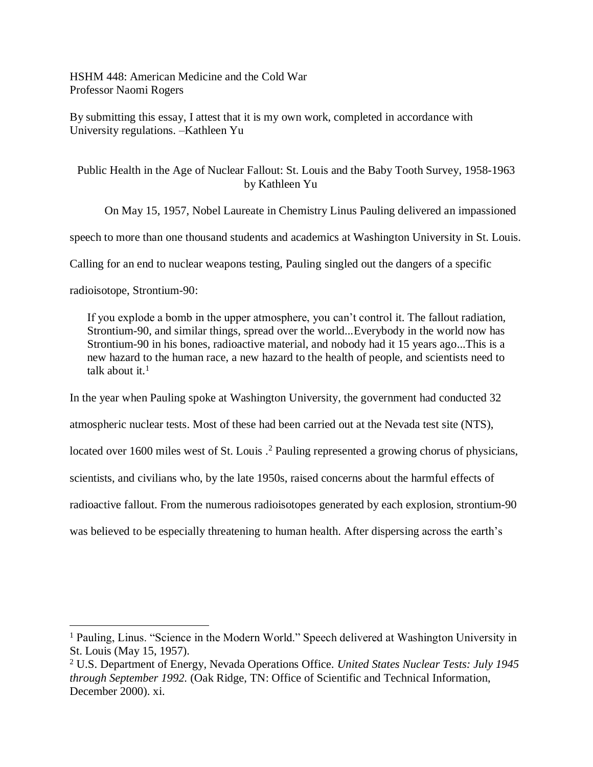HSHM 448: American Medicine and the Cold War Professor Naomi Rogers

By submitting this essay, I attest that it is my own work, completed in accordance with University regulations. –Kathleen Yu

Public Health in the Age of Nuclear Fallout: St. Louis and the Baby Tooth Survey, 1958-1963 by Kathleen Yu

On May 15, 1957, Nobel Laureate in Chemistry Linus Pauling delivered an impassioned

speech to more than one thousand students and academics at Washington University in St. Louis.

Calling for an end to nuclear weapons testing, Pauling singled out the dangers of a specific

radioisotope, Strontium-90:

 $\overline{a}$ 

If you explode a bomb in the upper atmosphere, you can't control it. The fallout radiation, Strontium-90, and similar things, spread over the world...Everybody in the world now has Strontium-90 in his bones, radioactive material, and nobody had it 15 years ago...This is a new hazard to the human race, a new hazard to the health of people, and scientists need to talk about it. $<sup>1</sup>$ </sup>

In the year when Pauling spoke at Washington University, the government had conducted 32 atmospheric nuclear tests. Most of these had been carried out at the Nevada test site (NTS), located over 1600 miles west of St. Louis .<sup>2</sup> Pauling represented a growing chorus of physicians, scientists, and civilians who, by the late 1950s, raised concerns about the harmful effects of radioactive fallout. From the numerous radioisotopes generated by each explosion, strontium-90 was believed to be especially threatening to human health. After dispersing across the earth's

<sup>&</sup>lt;sup>1</sup> Pauling, Linus. "Science in the Modern World." Speech delivered at Washington University in St. Louis (May 15, 1957).

<sup>2</sup> U.S. Department of Energy, Nevada Operations Office. *United States Nuclear Tests: July 1945 through September 1992.* (Oak Ridge, TN: Office of Scientific and Technical Information, December 2000). xi.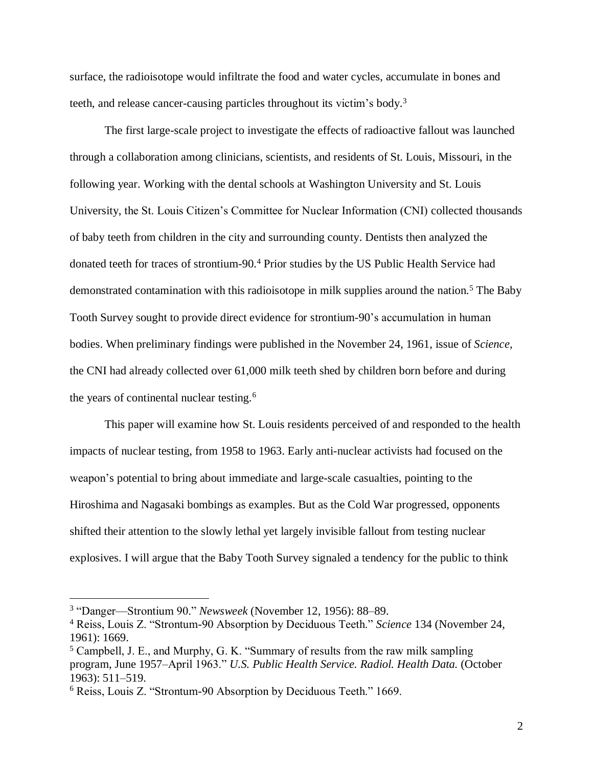surface, the radioisotope would infiltrate the food and water cycles, accumulate in bones and teeth, and release cancer-causing particles throughout its victim's body.<sup>3</sup>

The first large-scale project to investigate the effects of radioactive fallout was launched through a collaboration among clinicians, scientists, and residents of St. Louis, Missouri, in the following year. Working with the dental schools at Washington University and St. Louis University, the St. Louis Citizen's Committee for Nuclear Information (CNI) collected thousands of baby teeth from children in the city and surrounding county. Dentists then analyzed the donated teeth for traces of strontium-90.<sup>4</sup> Prior studies by the US Public Health Service had demonstrated contamination with this radioisotope in milk supplies around the nation.<sup>5</sup> The Baby Tooth Survey sought to provide direct evidence for strontium-90's accumulation in human bodies. When preliminary findings were published in the November 24, 1961, issue of *Science*, the CNI had already collected over 61,000 milk teeth shed by children born before and during the years of continental nuclear testing.<sup>6</sup>

This paper will examine how St. Louis residents perceived of and responded to the health impacts of nuclear testing, from 1958 to 1963. Early anti-nuclear activists had focused on the weapon's potential to bring about immediate and large-scale casualties, pointing to the Hiroshima and Nagasaki bombings as examples. But as the Cold War progressed, opponents shifted their attention to the slowly lethal yet largely invisible fallout from testing nuclear explosives. I will argue that the Baby Tooth Survey signaled a tendency for the public to think

<sup>3</sup> "Danger—Strontium 90." *Newsweek* (November 12, 1956): 88–89.

<sup>4</sup> Reiss, Louis Z. "Strontum-90 Absorption by Deciduous Teeth." *Science* 134 (November 24, 1961): 1669.

<sup>5</sup> Campbell, J. E., and Murphy, G. K. "Summary of results from the raw milk sampling program, June 1957–April 1963." *U.S. Public Health Service. Radiol. Health Data.* (October 1963): 511–519.

<sup>6</sup> Reiss, Louis Z. "Strontum-90 Absorption by Deciduous Teeth." 1669.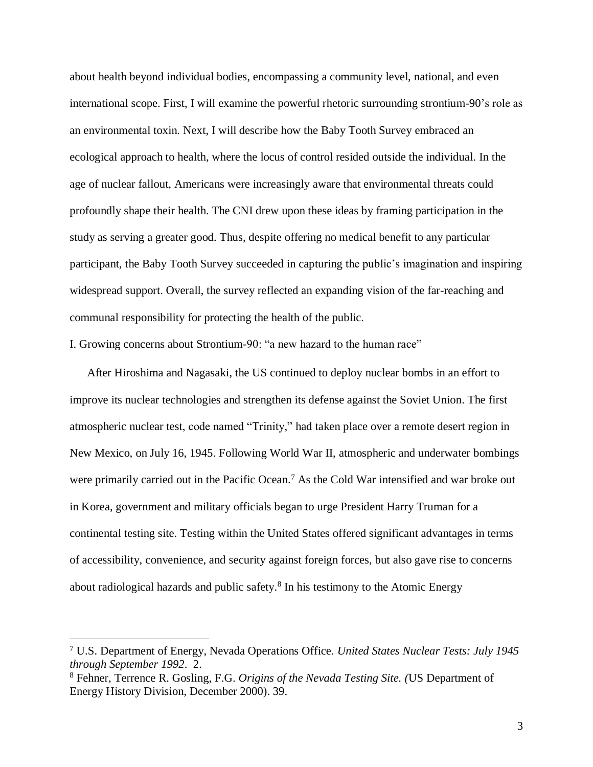about health beyond individual bodies, encompassing a community level, national, and even international scope. First, I will examine the powerful rhetoric surrounding strontium-90's role as an environmental toxin. Next, I will describe how the Baby Tooth Survey embraced an ecological approach to health, where the locus of control resided outside the individual. In the age of nuclear fallout, Americans were increasingly aware that environmental threats could profoundly shape their health. The CNI drew upon these ideas by framing participation in the study as serving a greater good. Thus, despite offering no medical benefit to any particular participant, the Baby Tooth Survey succeeded in capturing the public's imagination and inspiring widespread support. Overall, the survey reflected an expanding vision of the far-reaching and communal responsibility for protecting the health of the public.

I. Growing concerns about Strontium-90: "a new hazard to the human race"

After Hiroshima and Nagasaki, the US continued to deploy nuclear bombs in an effort to improve its nuclear technologies and strengthen its defense against the Soviet Union. The first atmospheric nuclear test, code named "Trinity," had taken place over a remote desert region in New Mexico, on July 16, 1945. Following World War II, atmospheric and underwater bombings were primarily carried out in the Pacific Ocean.<sup>7</sup> As the Cold War intensified and war broke out in Korea, government and military officials began to urge President Harry Truman for a continental testing site. Testing within the United States offered significant advantages in terms of accessibility, convenience, and security against foreign forces, but also gave rise to concerns about radiological hazards and public safety. 8 In his testimony to the Atomic Energy

<sup>7</sup> U.S. Department of Energy, Nevada Operations Office. *United States Nuclear Tests: July 1945 through September 1992*. 2.

<sup>8</sup> Fehner, Terrence R. Gosling, F.G. *Origins of the Nevada Testing Site. (*US Department of Energy History Division, December 2000). 39.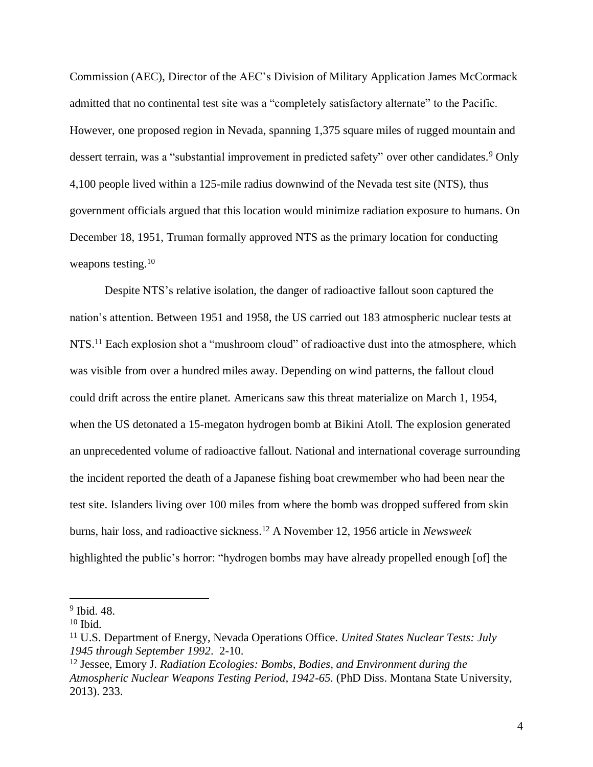Commission (AEC), Director of the AEC's Division of Military Application James McCormack admitted that no continental test site was a "completely satisfactory alternate" to the Pacific. However, one proposed region in Nevada, spanning 1,375 square miles of rugged mountain and dessert terrain, was a "substantial improvement in predicted safety" over other candidates.<sup>9</sup> Only 4,100 people lived within a 125-mile radius downwind of the Nevada test site (NTS), thus government officials argued that this location would minimize radiation exposure to humans. On December 18, 1951, Truman formally approved NTS as the primary location for conducting weapons testing.<sup>10</sup>

Despite NTS's relative isolation, the danger of radioactive fallout soon captured the nation's attention. Between 1951 and 1958, the US carried out 183 atmospheric nuclear tests at NTS.<sup>11</sup> Each explosion shot a "mushroom cloud" of radioactive dust into the atmosphere, which was visible from over a hundred miles away. Depending on wind patterns, the fallout cloud could drift across the entire planet. Americans saw this threat materialize on March 1, 1954, when the US detonated a 15-megaton hydrogen bomb at Bikini Atoll. The explosion generated an unprecedented volume of radioactive fallout. National and international coverage surrounding the incident reported the death of a Japanese fishing boat crewmember who had been near the test site. Islanders living over 100 miles from where the bomb was dropped suffered from skin burns, hair loss, and radioactive sickness.<sup>12</sup> A November 12, 1956 article in *Newsweek* highlighted the public's horror: "hydrogen bombs may have already propelled enough [of] the

<sup>9</sup> Ibid. 48.

 $10$  Ibid.

<sup>11</sup> U.S. Department of Energy, Nevada Operations Office. *United States Nuclear Tests: July 1945 through September 1992*. 2-10.

<sup>12</sup> Jessee, Emory J. *Radiation Ecologies: Bombs, Bodies, and Environment during the Atmospheric Nuclear Weapons Testing Period, 1942-65.* (PhD Diss. Montana State University, 2013). 233.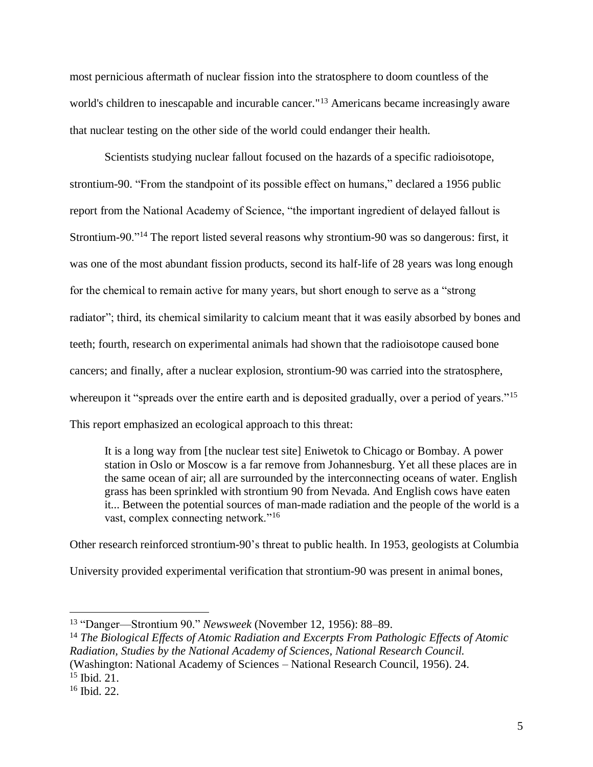most pernicious aftermath of nuclear fission into the stratosphere to doom countless of the world's children to inescapable and incurable cancer."<sup>13</sup> Americans became increasingly aware that nuclear testing on the other side of the world could endanger their health.

Scientists studying nuclear fallout focused on the hazards of a specific radioisotope, strontium-90. "From the standpoint of its possible effect on humans," declared a 1956 public report from the National Academy of Science, "the important ingredient of delayed fallout is Strontium-90."<sup>14</sup> The report listed several reasons why strontium-90 was so dangerous: first, it was one of the most abundant fission products, second its half-life of 28 years was long enough for the chemical to remain active for many years, but short enough to serve as a "strong radiator"; third, its chemical similarity to calcium meant that it was easily absorbed by bones and teeth; fourth, research on experimental animals had shown that the radioisotope caused bone cancers; and finally, after a nuclear explosion, strontium-90 was carried into the stratosphere, whereupon it "spreads over the entire earth and is deposited gradually, over a period of years."<sup>15</sup> This report emphasized an ecological approach to this threat:

It is a long way from [the nuclear test site] Eniwetok to Chicago or Bombay. A power station in Oslo or Moscow is a far remove from Johannesburg. Yet all these places are in the same ocean of air; all are surrounded by the interconnecting oceans of water. English grass has been sprinkled with strontium 90 from Nevada. And English cows have eaten it... Between the potential sources of man-made radiation and the people of the world is a vast, complex connecting network."<sup>16</sup>

Other research reinforced strontium-90's threat to public health. In 1953, geologists at Columbia

University provided experimental verification that strontium-90 was present in animal bones,

<sup>13</sup> "Danger—Strontium 90." *Newsweek* (November 12, 1956): 88–89.

<sup>14</sup> *The Biological Effects of Atomic Radiation and Excerpts From Pathologic Effects of Atomic Radiation, Studies by the National Academy of Sciences, National Research Council.*

<sup>(</sup>Washington: National Academy of Sciences – National Research Council, 1956). 24. <sup>15</sup> Ibid. 21.

<sup>16</sup> Ibid. 22.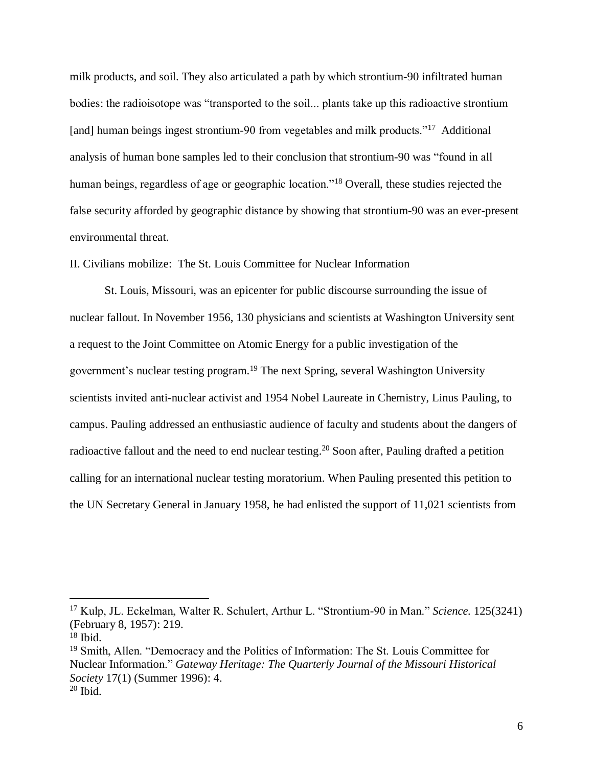milk products, and soil. They also articulated a path by which strontium-90 infiltrated human bodies: the radioisotope was "transported to the soil... plants take up this radioactive strontium [and] human beings ingest strontium-90 from vegetables and milk products."<sup>17</sup> Additional analysis of human bone samples led to their conclusion that strontium-90 was "found in all human beings, regardless of age or geographic location."<sup>18</sup> Overall, these studies rejected the false security afforded by geographic distance by showing that strontium-90 was an ever-present environmental threat.

II. Civilians mobilize: The St. Louis Committee for Nuclear Information

St. Louis, Missouri, was an epicenter for public discourse surrounding the issue of nuclear fallout. In November 1956, 130 physicians and scientists at Washington University sent a request to the Joint Committee on Atomic Energy for a public investigation of the government's nuclear testing program. <sup>19</sup> The next Spring, several Washington University scientists invited anti-nuclear activist and 1954 Nobel Laureate in Chemistry, Linus Pauling, to campus. Pauling addressed an enthusiastic audience of faculty and students about the dangers of radioactive fallout and the need to end nuclear testing.<sup>20</sup> Soon after, Pauling drafted a petition calling for an international nuclear testing moratorium. When Pauling presented this petition to the UN Secretary General in January 1958, he had enlisted the support of 11,021 scientists from

<sup>17</sup> Kulp, JL. Eckelman, Walter R. Schulert, Arthur L. "Strontium-90 in Man." *Science.* 125(3241) (February 8, 1957): 219.

 $18$  Ibid.

<sup>19</sup> Smith, Allen. "Democracy and the Politics of Information: The St. Louis Committee for Nuclear Information." *Gateway Heritage: The Quarterly Journal of the Missouri Historical Society* 17(1) (Summer 1996): 4.  $20$  Ibid.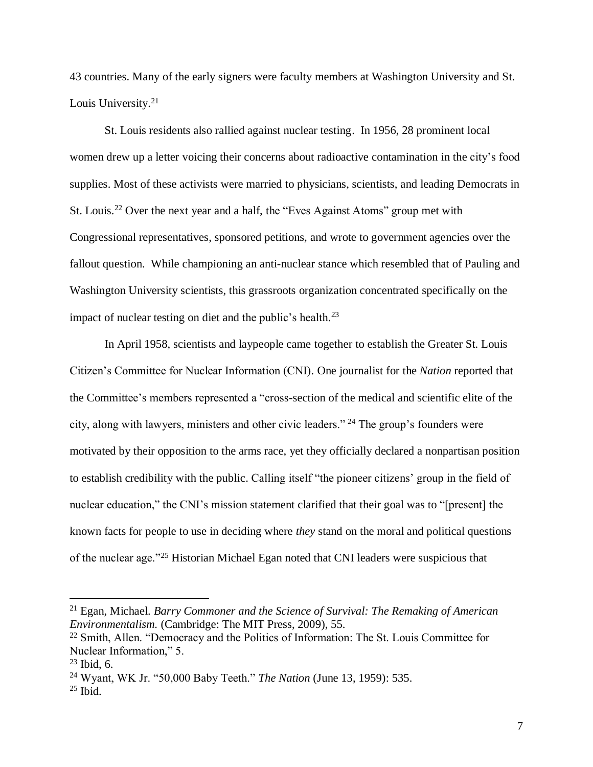43 countries. Many of the early signers were faculty members at Washington University and St. Louis University. 21

St. Louis residents also rallied against nuclear testing. In 1956, 28 prominent local women drew up a letter voicing their concerns about radioactive contamination in the city's food supplies. Most of these activists were married to physicians, scientists, and leading Democrats in St. Louis.<sup>22</sup> Over the next year and a half, the "Eves Against Atoms" group met with Congressional representatives, sponsored petitions, and wrote to government agencies over the fallout question. While championing an anti-nuclear stance which resembled that of Pauling and Washington University scientists, this grassroots organization concentrated specifically on the impact of nuclear testing on diet and the public's health.<sup>23</sup>

In April 1958, scientists and laypeople came together to establish the Greater St. Louis Citizen's Committee for Nuclear Information (CNI). One journalist for the *Nation* reported that the Committee's members represented a "cross-section of the medical and scientific elite of the city, along with lawyers, ministers and other civic leaders." <sup>24</sup> The group's founders were motivated by their opposition to the arms race, yet they officially declared a nonpartisan position to establish credibility with the public. Calling itself "the pioneer citizens' group in the field of nuclear education," the CNI's mission statement clarified that their goal was to "[present] the known facts for people to use in deciding where *they* stand on the moral and political questions of the nuclear age."<sup>25</sup> Historian Michael Egan noted that CNI leaders were suspicious that

<sup>21</sup> Egan, Michael. *Barry Commoner and the Science of Survival: The Remaking of American Environmentalism.* (Cambridge: The MIT Press, 2009), 55.

<sup>&</sup>lt;sup>22</sup> Smith, Allen. "Democracy and the Politics of Information: The St. Louis Committee for Nuclear Information," 5.

 $23$  Ibid, 6.

<sup>24</sup> Wyant, WK Jr. "50,000 Baby Teeth." *The Nation* (June 13, 1959): 535.

 $25$  Ibid.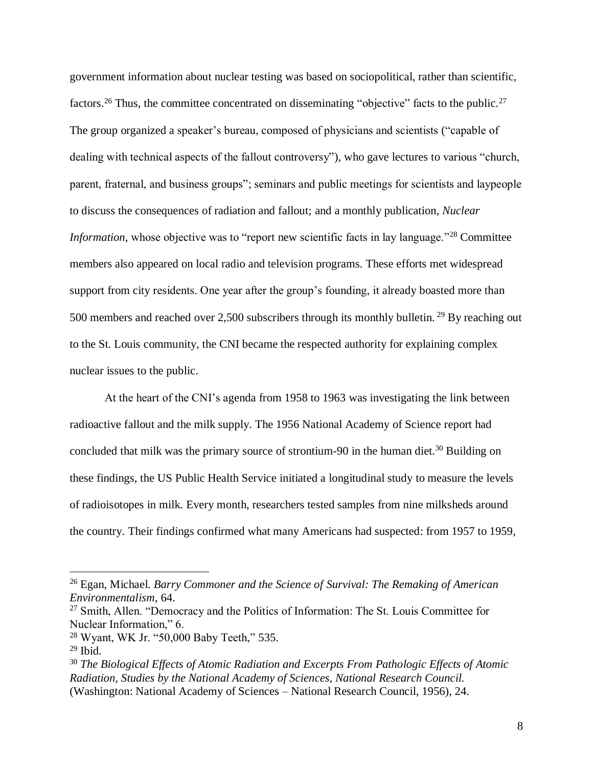government information about nuclear testing was based on sociopolitical, rather than scientific, factors.<sup>26</sup> Thus, the committee concentrated on disseminating "objective" facts to the public.<sup>27</sup> The group organized a speaker's bureau, composed of physicians and scientists ("capable of dealing with technical aspects of the fallout controversy"), who gave lectures to various "church, parent, fraternal, and business groups"; seminars and public meetings for scientists and laypeople to discuss the consequences of radiation and fallout; and a monthly publication, *Nuclear Information*, whose objective was to "report new scientific facts in lay language."<sup>28</sup> Committee members also appeared on local radio and television programs. These efforts met widespread support from city residents. One year after the group's founding, it already boasted more than 500 members and reached over 2,500 subscribers through its monthly bulletin.<sup>29</sup> By reaching out to the St. Louis community, the CNI became the respected authority for explaining complex nuclear issues to the public.

At the heart of the CNI's agenda from 1958 to 1963 was investigating the link between radioactive fallout and the milk supply. The 1956 National Academy of Science report had concluded that milk was the primary source of strontium-90 in the human diet.<sup>30</sup> Building on these findings, the US Public Health Service initiated a longitudinal study to measure the levels of radioisotopes in milk. Every month, researchers tested samples from nine milksheds around the country. Their findings confirmed what many Americans had suspected: from 1957 to 1959,

<sup>26</sup> Egan, Michael. *Barry Commoner and the Science of Survival: The Remaking of American Environmentalism*, 64.

<sup>27</sup> Smith, Allen. "Democracy and the Politics of Information: The St. Louis Committee for Nuclear Information," 6.

<sup>28</sup> Wyant, WK Jr. "50,000 Baby Teeth," 535.

<sup>29</sup> Ibid.

<sup>30</sup> *The Biological Effects of Atomic Radiation and Excerpts From Pathologic Effects of Atomic Radiation, Studies by the National Academy of Sciences, National Research Council.* (Washington: National Academy of Sciences – National Research Council, 1956), 24.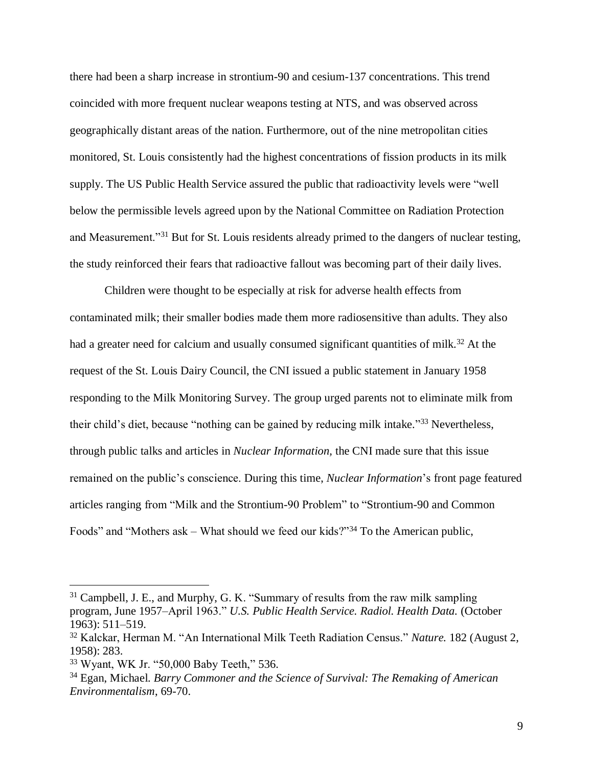there had been a sharp increase in strontium-90 and cesium-137 concentrations. This trend coincided with more frequent nuclear weapons testing at NTS, and was observed across geographically distant areas of the nation. Furthermore, out of the nine metropolitan cities monitored, St. Louis consistently had the highest concentrations of fission products in its milk supply. The US Public Health Service assured the public that radioactivity levels were "well below the permissible levels agreed upon by the National Committee on Radiation Protection and Measurement."<sup>31</sup> But for St. Louis residents already primed to the dangers of nuclear testing, the study reinforced their fears that radioactive fallout was becoming part of their daily lives.

Children were thought to be especially at risk for adverse health effects from contaminated milk; their smaller bodies made them more radiosensitive than adults. They also had a greater need for calcium and usually consumed significant quantities of milk.<sup>32</sup> At the request of the St. Louis Dairy Council, the CNI issued a public statement in January 1958 responding to the Milk Monitoring Survey. The group urged parents not to eliminate milk from their child's diet, because "nothing can be gained by reducing milk intake."<sup>33</sup> Nevertheless, through public talks and articles in *Nuclear Information,* the CNI made sure that this issue remained on the public's conscience. During this time, *Nuclear Information*'s front page featured articles ranging from "Milk and the Strontium-90 Problem" to "Strontium-90 and Common Foods" and "Mothers ask – What should we feed our kids?"<sup>34</sup> To the American public,

<sup>&</sup>lt;sup>31</sup> Campbell, J. E., and Murphy, G. K. "Summary of results from the raw milk sampling program, June 1957–April 1963." *U.S. Public Health Service. Radiol. Health Data.* (October 1963): 511–519.

<sup>32</sup> Kalckar, Herman M. "An International Milk Teeth Radiation Census." *Nature.* 182 (August 2, 1958): 283.

<sup>33</sup> Wyant, WK Jr. "50,000 Baby Teeth," 536.

<sup>34</sup> Egan, Michael. *Barry Commoner and the Science of Survival: The Remaking of American Environmentalism*, 69-70.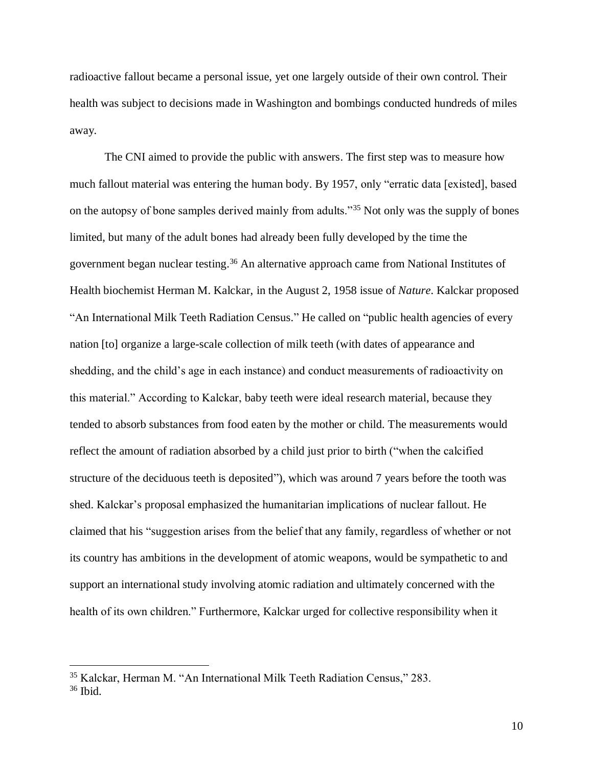radioactive fallout became a personal issue, yet one largely outside of their own control. Their health was subject to decisions made in Washington and bombings conducted hundreds of miles away.

The CNI aimed to provide the public with answers. The first step was to measure how much fallout material was entering the human body. By 1957, only "erratic data [existed], based on the autopsy of bone samples derived mainly from adults."<sup>35</sup> Not only was the supply of bones limited, but many of the adult bones had already been fully developed by the time the government began nuclear testing. <sup>36</sup> An alternative approach came from National Institutes of Health biochemist Herman M. Kalckar, in the August 2, 1958 issue of *Nature*. Kalckar proposed "An International Milk Teeth Radiation Census." He called on "public health agencies of every nation [to] organize a large-scale collection of milk teeth (with dates of appearance and shedding, and the child's age in each instance) and conduct measurements of radioactivity on this material." According to Kalckar, baby teeth were ideal research material, because they tended to absorb substances from food eaten by the mother or child. The measurements would reflect the amount of radiation absorbed by a child just prior to birth ("when the calcified structure of the deciduous teeth is deposited"), which was around 7 years before the tooth was shed. Kalckar's proposal emphasized the humanitarian implications of nuclear fallout. He claimed that his "suggestion arises from the belief that any family, regardless of whether or not its country has ambitions in the development of atomic weapons, would be sympathetic to and support an international study involving atomic radiation and ultimately concerned with the health of its own children." Furthermore, Kalckar urged for collective responsibility when it

<sup>35</sup> Kalckar, Herman M. "An International Milk Teeth Radiation Census," 283.

<sup>36</sup> Ibid.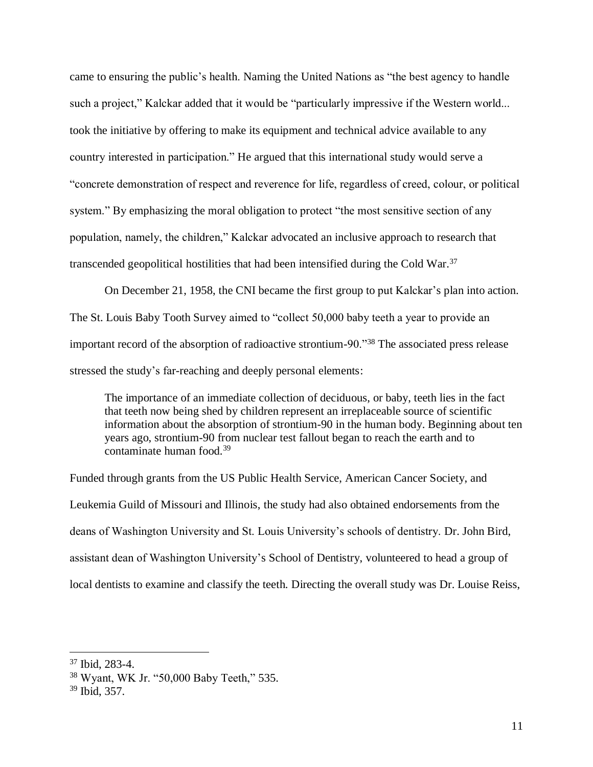came to ensuring the public's health. Naming the United Nations as "the best agency to handle such a project," Kalckar added that it would be "particularly impressive if the Western world... took the initiative by offering to make its equipment and technical advice available to any country interested in participation." He argued that this international study would serve a "concrete demonstration of respect and reverence for life, regardless of creed, colour, or political system." By emphasizing the moral obligation to protect "the most sensitive section of any population, namely, the children," Kalckar advocated an inclusive approach to research that transcended geopolitical hostilities that had been intensified during the Cold War.<sup>37</sup>

On December 21, 1958, the CNI became the first group to put Kalckar's plan into action. The St. Louis Baby Tooth Survey aimed to "collect 50,000 baby teeth a year to provide an important record of the absorption of radioactive strontium-90."<sup>38</sup> The associated press release stressed the study's far-reaching and deeply personal elements:

The importance of an immediate collection of deciduous, or baby, teeth lies in the fact that teeth now being shed by children represent an irreplaceable source of scientific information about the absorption of strontium-90 in the human body. Beginning about ten years ago, strontium-90 from nuclear test fallout began to reach the earth and to contaminate human food.<sup>39</sup>

Funded through grants from the US Public Health Service, American Cancer Society, and Leukemia Guild of Missouri and Illinois, the study had also obtained endorsements from the deans of Washington University and St. Louis University's schools of dentistry. Dr. John Bird, assistant dean of Washington University's School of Dentistry, volunteered to head a group of local dentists to examine and classify the teeth. Directing the overall study was Dr. Louise Reiss,

<sup>37</sup> Ibid, 283-4.

<sup>38</sup> Wyant, WK Jr. "50,000 Baby Teeth," 535.

<sup>39</sup> Ibid, 357.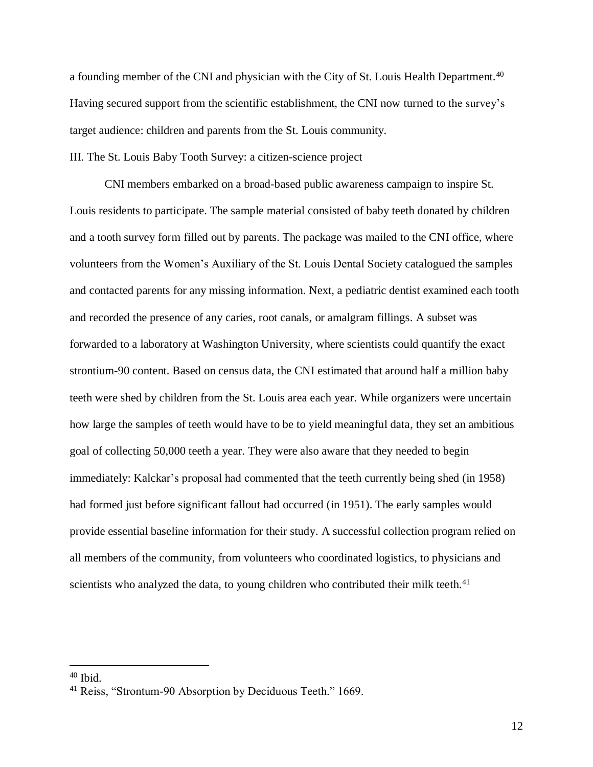a founding member of the CNI and physician with the City of St. Louis Health Department.<sup>40</sup> Having secured support from the scientific establishment, the CNI now turned to the survey's target audience: children and parents from the St. Louis community.

III. The St. Louis Baby Tooth Survey: a citizen-science project

CNI members embarked on a broad-based public awareness campaign to inspire St. Louis residents to participate. The sample material consisted of baby teeth donated by children and a tooth survey form filled out by parents. The package was mailed to the CNI office, where volunteers from the Women's Auxiliary of the St. Louis Dental Society catalogued the samples and contacted parents for any missing information. Next, a pediatric dentist examined each tooth and recorded the presence of any caries, root canals, or amalgram fillings. A subset was forwarded to a laboratory at Washington University, where scientists could quantify the exact strontium-90 content. Based on census data, the CNI estimated that around half a million baby teeth were shed by children from the St. Louis area each year. While organizers were uncertain how large the samples of teeth would have to be to yield meaningful data, they set an ambitious goal of collecting 50,000 teeth a year. They were also aware that they needed to begin immediately: Kalckar's proposal had commented that the teeth currently being shed (in 1958) had formed just before significant fallout had occurred (in 1951). The early samples would provide essential baseline information for their study. A successful collection program relied on all members of the community, from volunteers who coordinated logistics, to physicians and scientists who analyzed the data, to young children who contributed their milk teeth.<sup>41</sup>

<sup>40</sup> Ibid.

<sup>41</sup> Reiss, "Strontum-90 Absorption by Deciduous Teeth." 1669.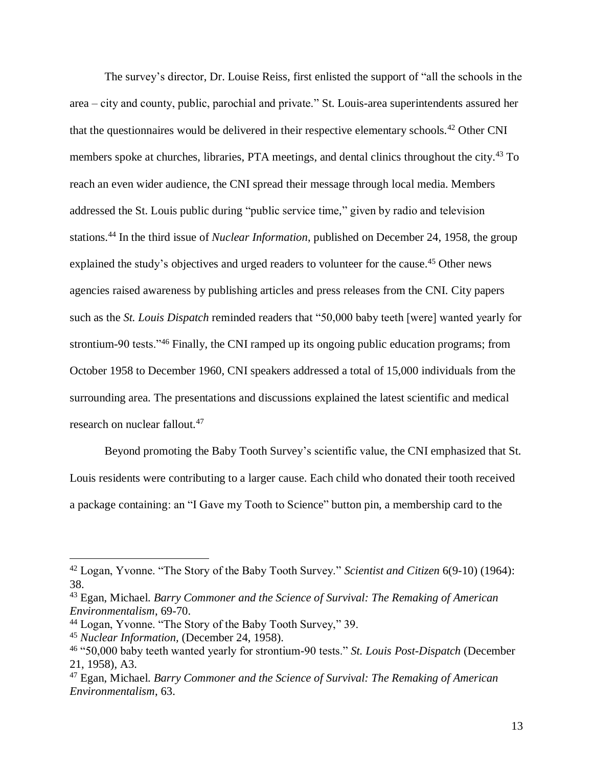The survey's director, Dr. Louise Reiss, first enlisted the support of "all the schools in the area – city and county, public, parochial and private." St. Louis-area superintendents assured her that the questionnaires would be delivered in their respective elementary schools.<sup>42</sup> Other CNI members spoke at churches, libraries, PTA meetings, and dental clinics throughout the city.<sup>43</sup> To reach an even wider audience, the CNI spread their message through local media. Members addressed the St. Louis public during "public service time," given by radio and television stations.<sup>44</sup> In the third issue of *Nuclear Information*, published on December 24, 1958, the group explained the study's objectives and urged readers to volunteer for the cause.<sup>45</sup> Other news agencies raised awareness by publishing articles and press releases from the CNI. City papers such as the *St. Louis Dispatch* reminded readers that "50,000 baby teeth [were] wanted yearly for strontium-90 tests."<sup>46</sup> Finally, the CNI ramped up its ongoing public education programs; from October 1958 to December 1960, CNI speakers addressed a total of 15,000 individuals from the surrounding area. The presentations and discussions explained the latest scientific and medical research on nuclear fallout.<sup>47</sup>

Beyond promoting the Baby Tooth Survey's scientific value, the CNI emphasized that St. Louis residents were contributing to a larger cause. Each child who donated their tooth received a package containing: an "I Gave my Tooth to Science" button pin, a membership card to the

<sup>42</sup> Logan, Yvonne. "The Story of the Baby Tooth Survey." *Scientist and Citizen* 6(9-10) (1964): 38.

<sup>43</sup> Egan, Michael. *Barry Commoner and the Science of Survival: The Remaking of American Environmentalism*, 69-70.

<sup>44</sup> Logan, Yvonne. "The Story of the Baby Tooth Survey," 39.

<sup>45</sup> *Nuclear Information,* (December 24, 1958).

<sup>46</sup> "50,000 baby teeth wanted yearly for strontium-90 tests." *St. Louis Post-Dispatch* (December 21, 1958), A3.

<sup>47</sup> Egan, Michael. *Barry Commoner and the Science of Survival: The Remaking of American Environmentalism*, 63.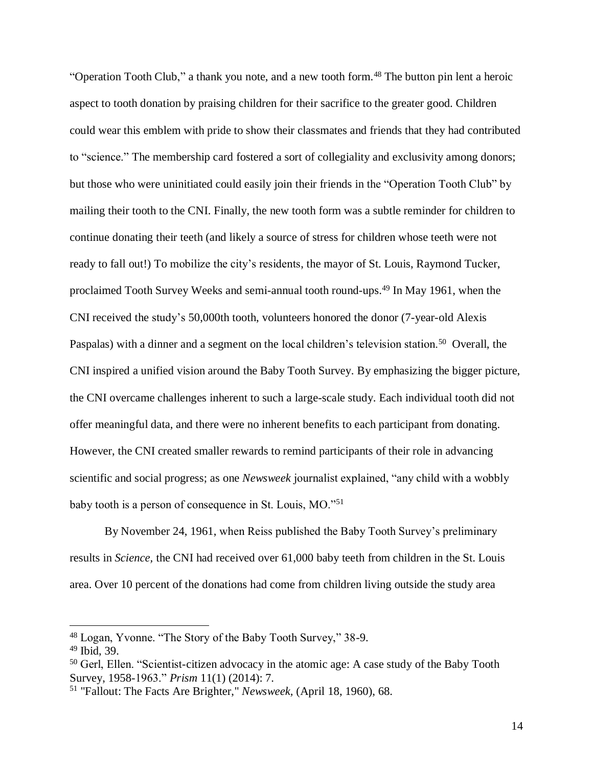"Operation Tooth Club," a thank you note, and a new tooth form.<sup>48</sup> The button pin lent a heroic aspect to tooth donation by praising children for their sacrifice to the greater good. Children could wear this emblem with pride to show their classmates and friends that they had contributed to "science." The membership card fostered a sort of collegiality and exclusivity among donors; but those who were uninitiated could easily join their friends in the "Operation Tooth Club" by mailing their tooth to the CNI. Finally, the new tooth form was a subtle reminder for children to continue donating their teeth (and likely a source of stress for children whose teeth were not ready to fall out!) To mobilize the city's residents, the mayor of St. Louis, Raymond Tucker, proclaimed Tooth Survey Weeks and semi-annual tooth round-ups.<sup>49</sup> In May 1961, when the CNI received the study's 50,000th tooth, volunteers honored the donor (7-year-old Alexis Paspalas) with a dinner and a segment on the local children's television station.<sup>50</sup> Overall, the CNI inspired a unified vision around the Baby Tooth Survey. By emphasizing the bigger picture, the CNI overcame challenges inherent to such a large-scale study. Each individual tooth did not offer meaningful data, and there were no inherent benefits to each participant from donating. However, the CNI created smaller rewards to remind participants of their role in advancing scientific and social progress; as one *Newsweek* journalist explained, "any child with a wobbly baby tooth is a person of consequence in St. Louis, MO."<sup>51</sup>

By November 24, 1961, when Reiss published the Baby Tooth Survey's preliminary results in *Science,* the CNI had received over 61,000 baby teeth from children in the St. Louis area. Over 10 percent of the donations had come from children living outside the study area

<sup>48</sup> Logan, Yvonne. "The Story of the Baby Tooth Survey," 38-9.

<sup>49</sup> Ibid, 39.

<sup>&</sup>lt;sup>50</sup> Gerl, Ellen. "Scientist-citizen advocacy in the atomic age: A case study of the Baby Tooth Survey, 1958-1963." *Prism* 11(1) (2014): 7.

<sup>51</sup> "Fallout: The Facts Are Brighter," *Newsweek,* (April 18, 1960), 68.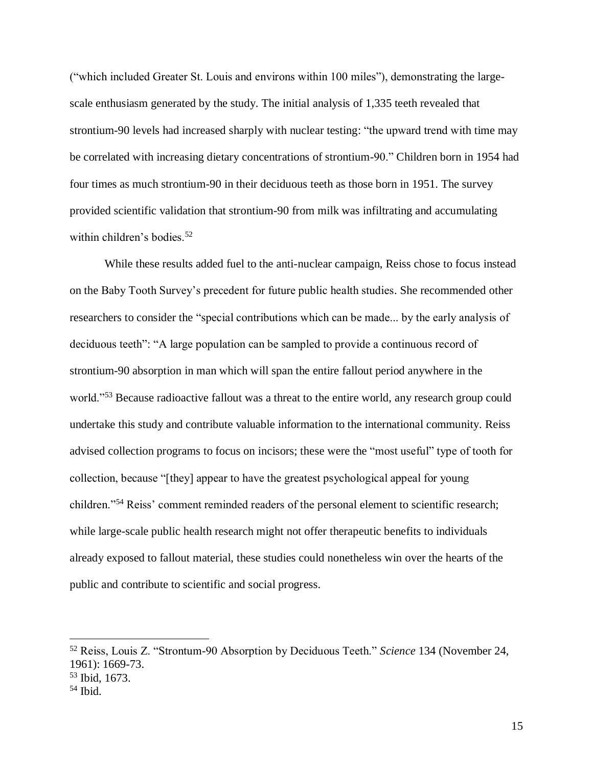("which included Greater St. Louis and environs within 100 miles"), demonstrating the largescale enthusiasm generated by the study. The initial analysis of 1,335 teeth revealed that strontium-90 levels had increased sharply with nuclear testing: "the upward trend with time may be correlated with increasing dietary concentrations of strontium-90." Children born in 1954 had four times as much strontium-90 in their deciduous teeth as those born in 1951. The survey provided scientific validation that strontium-90 from milk was infiltrating and accumulating within children's bodies.<sup>52</sup>

While these results added fuel to the anti-nuclear campaign, Reiss chose to focus instead on the Baby Tooth Survey's precedent for future public health studies. She recommended other researchers to consider the "special contributions which can be made... by the early analysis of deciduous teeth": "A large population can be sampled to provide a continuous record of strontium-90 absorption in man which will span the entire fallout period anywhere in the world."<sup>53</sup> Because radioactive fallout was a threat to the entire world, any research group could undertake this study and contribute valuable information to the international community. Reiss advised collection programs to focus on incisors; these were the "most useful" type of tooth for collection, because "[they] appear to have the greatest psychological appeal for young children."<sup>54</sup> Reiss' comment reminded readers of the personal element to scientific research; while large-scale public health research might not offer therapeutic benefits to individuals already exposed to fallout material, these studies could nonetheless win over the hearts of the public and contribute to scientific and social progress.

<sup>52</sup> Reiss, Louis Z. "Strontum-90 Absorption by Deciduous Teeth." *Science* 134 (November 24, 1961): 1669-73.

<sup>53</sup> Ibid, 1673.

 $54$  Ibid.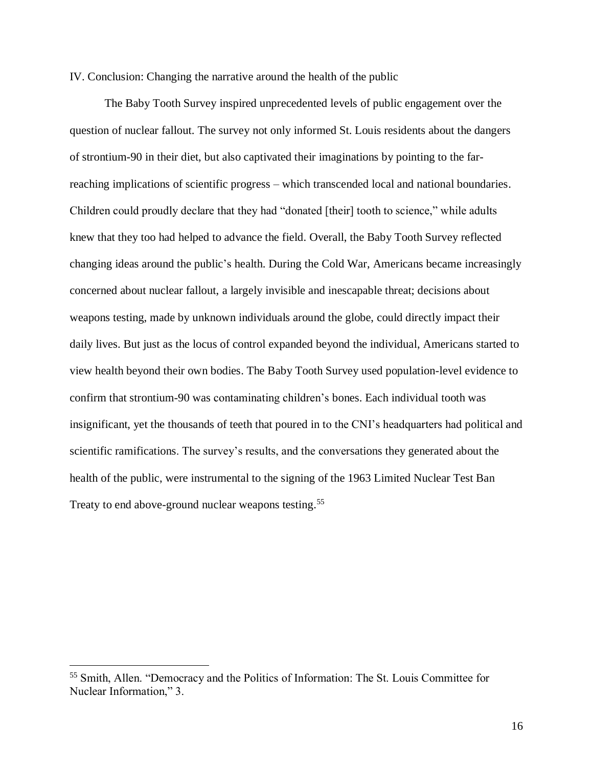IV. Conclusion: Changing the narrative around the health of the public

The Baby Tooth Survey inspired unprecedented levels of public engagement over the question of nuclear fallout. The survey not only informed St. Louis residents about the dangers of strontium-90 in their diet, but also captivated their imaginations by pointing to the farreaching implications of scientific progress – which transcended local and national boundaries. Children could proudly declare that they had "donated [their] tooth to science," while adults knew that they too had helped to advance the field. Overall, the Baby Tooth Survey reflected changing ideas around the public's health. During the Cold War, Americans became increasingly concerned about nuclear fallout, a largely invisible and inescapable threat; decisions about weapons testing, made by unknown individuals around the globe, could directly impact their daily lives. But just as the locus of control expanded beyond the individual, Americans started to view health beyond their own bodies. The Baby Tooth Survey used population-level evidence to confirm that strontium-90 was contaminating children's bones. Each individual tooth was insignificant, yet the thousands of teeth that poured in to the CNI's headquarters had political and scientific ramifications. The survey's results, and the conversations they generated about the health of the public, were instrumental to the signing of the 1963 Limited Nuclear Test Ban Treaty to end above-ground nuclear weapons testing.<sup>55</sup>

<sup>55</sup> Smith, Allen. "Democracy and the Politics of Information: The St. Louis Committee for Nuclear Information," 3.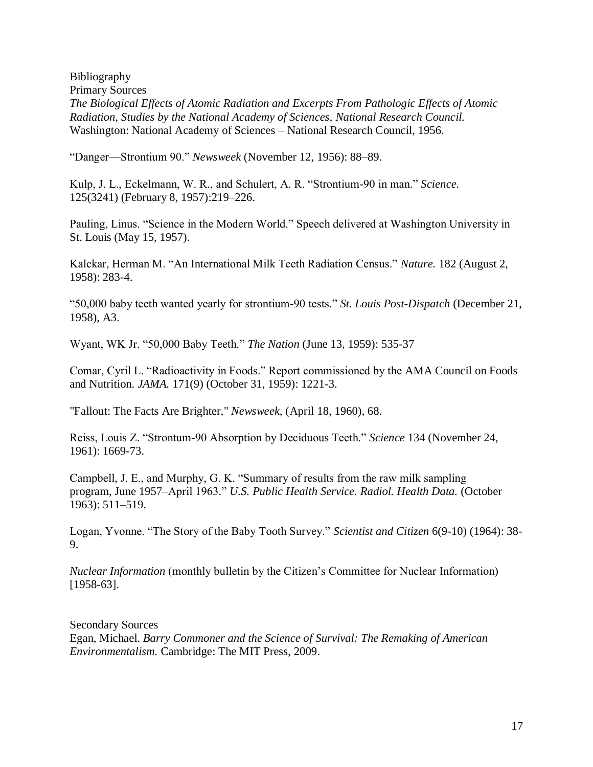Bibliography Primary Sources *The Biological Effects of Atomic Radiation and Excerpts From Pathologic Effects of Atomic Radiation, Studies by the National Academy of Sciences, National Research Council.* Washington: National Academy of Sciences – National Research Council, 1956.

"Danger—Strontium 90." *Newsweek* (November 12, 1956): 88–89.

Kulp, J. L., Eckelmann, W. R., and Schulert, A. R. "Strontium-90 in man." *Science.* 125(3241) (February 8, 1957):219–226.

Pauling, Linus. "Science in the Modern World." Speech delivered at Washington University in St. Louis (May 15, 1957).

Kalckar, Herman M. "An International Milk Teeth Radiation Census." *Nature.* 182 (August 2, 1958): 283-4.

"50,000 baby teeth wanted yearly for strontium-90 tests." *St. Louis Post-Dispatch* (December 21, 1958), A3.

Wyant, WK Jr. "50,000 Baby Teeth." *The Nation* (June 13, 1959): 535-37

Comar, Cyril L. "Radioactivity in Foods." Report commissioned by the AMA Council on Foods and Nutrition. *JAMA.* 171(9) (October 31, 1959): 1221-3.

"Fallout: The Facts Are Brighter," *Newsweek,* (April 18, 1960), 68.

Reiss, Louis Z. "Strontum-90 Absorption by Deciduous Teeth." *Science* 134 (November 24, 1961): 1669-73.

Campbell, J. E., and Murphy, G. K. "Summary of results from the raw milk sampling program, June 1957–April 1963." *U.S. Public Health Service. Radiol. Health Data.* (October 1963): 511–519.

Logan, Yvonne. "The Story of the Baby Tooth Survey." *Scientist and Citizen* 6(9-10) (1964): 38- 9.

*Nuclear Information* (monthly bulletin by the Citizen's Committee for Nuclear Information) [1958-63].

Secondary Sources Egan, Michael. *Barry Commoner and the Science of Survival: The Remaking of American Environmentalism.* Cambridge: The MIT Press, 2009.